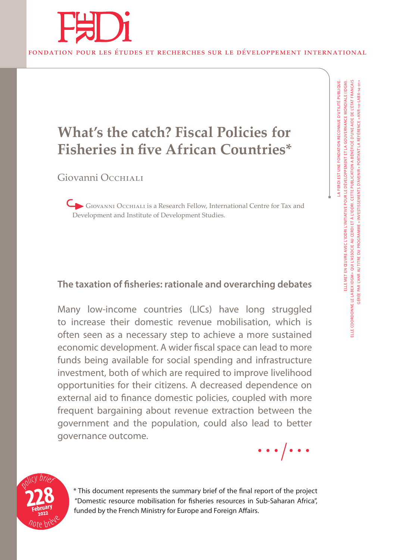

## **What's the catch? Fiscal Policies for Fisheries in five African Countries\***

Giovanni Occhiali

Giovanni Occhiali is a Research Fellow, International Centre for Tax and Development and Institute of Development Studies.

### **The taxation of fisheries: rationale and overarching debates**

Many low-income countries (LICs) have long struggled to increase their domestic revenue mobilisation, which is often seen as a necessary step to achieve a more sustained economic development. A wider fiscal space can lead to more funds being available for social spending and infrastructure investment, both of which are required to improve livelihood opportunities for their citizens. A decreased dependence on external aid to finance domestic policies, coupled with more frequent bargaining about revenue extraction between the government and the population, could also lead to better governance outcome.





\* This document represents the summary brief of the final report of the project "Domestic resource mobilisation for fisheries resources in Sub-Saharan Africa", funded by the French Ministry for Europe and Foreign Affairs.

LA FERDI EST UNE FONDATION RECONNUE D'UTILITÉ PUBLIQUE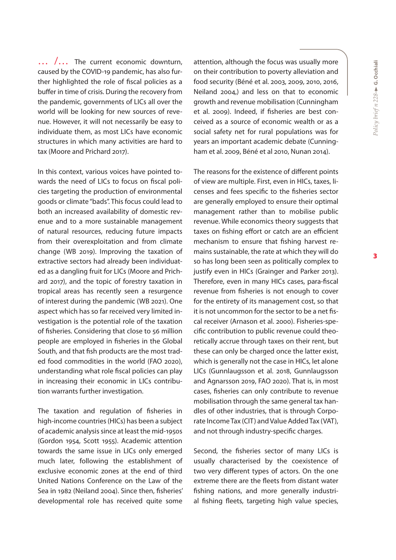$\ldots$   $\ldots$  The current economic downturn, caused by the COVID-19 pandemic, has also further highlighted the role of fiscal policies as a buffer in time of crisis. During the recovery from the pandemic, governments of LICs all over the world will be looking for new sources of revenue. However, it will not necessarily be easy to individuate them, as most LICs have economic structures in which many activities are hard to tax (Moore and Prichard 2017).

In this context, various voices have pointed towards the need of LICs to focus on fiscal policies targeting the production of environmental goods or climate "bads". This focus could lead to both an increased availability of domestic revenue and to a more sustainable management of natural resources, reducing future impacts from their overexploitation and from climate change (WB 2019). Improving the taxation of extractive sectors had already been individuated as a dangling fruit for LICs (Moore and Prichard 2017), and the topic of forestry taxation in tropical areas has recently seen a resurgence of interest during the pandemic (WB 2021). One aspect which has so far received very limited investigation is the potential role of the taxation of fisheries. Considering that close to 56 million people are employed in fisheries in the Global South, and that fish products are the most traded food commodities in the world (FAO 2020), understanding what role fiscal policies can play in increasing their economic in LICs contribution warrants further investigation.

The taxation and regulation of fisheries in high-income countries (HICs) has been a subject of academic analysis since at least the mid-1950s (Gordon 1954, Scott 1955). Academic attention towards the same issue in LICs only emerged much later, following the establishment of exclusive economic zones at the end of third United Nations Conference on the Law of the Sea in 1982 (Neiland 2004). Since then, fisheries' developmental role has received quite some attention, although the focus was usually more on their contribution to poverty alleviation and food security (Béné et al. 2003, 2009, 2010, 2016, Neiland 2004,) and less on that to economic growth and revenue mobilisation (Cunningham et al. 2009). Indeed, if fisheries are best conceived as a source of economic wealth or as a social safety net for rural populations was for years an important academic debate (Cunningham et al. 2009, Béné et al 2010, Nunan 2014).

The reasons for the existence of different points of view are multiple. First, even in HICs, taxes, licenses and fees specific to the fisheries sector are generally employed to ensure their optimal management rather than to mobilise public revenue. While economics theory suggests that taxes on fishing effort or catch are an efficient mechanism to ensure that fishing harvest remains sustainable, the rate at which they will do so has long been seen as politically complex to justify even in HICs (Grainger and Parker 2013). Therefore, even in many HICs cases, para-fiscal revenue from fisheries is not enough to cover for the entirety of its management cost, so that it is not uncommon for the sector to be a net fiscal receiver (Arnason et al. 2000). Fisheries-specific contribution to public revenue could theoretically accrue through taxes on their rent, but these can only be charged once the latter exist, which is generally not the case in HICs, let alone LICs (Gunnlaugsson et al. 2018, Gunnlaugsson and Agnarsson 2019, FAO 2020). That is, in most cases, fisheries can only contribute to revenue mobilisation through the same general tax handles of other industries, that is through Corporate Income Tax (CIT) and Value Added Tax (VAT), and not through industry-specific charges.

Second, the fisheries sector of many LICs is usually characterised by the coexistence of two very different types of actors. On the one extreme there are the fleets from distant water fishing nations, and more generally industrial fishing fleets, targeting high value species,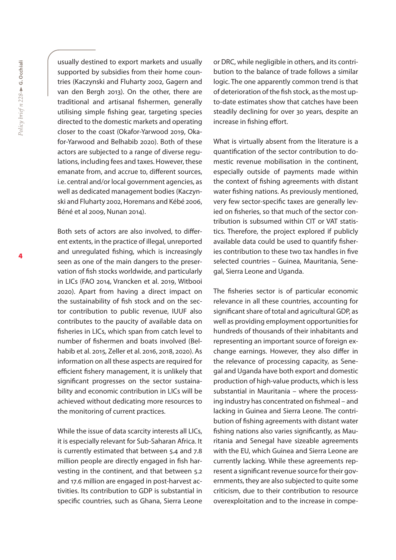usually destined to export markets and usually supported by subsidies from their home countries (Kaczynski and Fluharty 2002, Gagern and van den Bergh 2013). On the other, there are traditional and artisanal fishermen, generally utilising simple fishing gear, targeting species directed to the domestic markets and operating closer to the coast (Okafor-Yarwood 2019, Okafor-Yarwood and Belhabib 2020). Both of these actors are subjected to a range of diverse regulations, including fees and taxes. However, these emanate from, and accrue to, different sources, i.e. central and/or local government agencies, as well as dedicated management bodies (Kaczynski and Fluharty 2002, Horemans and Kébé 2006, Béné et al 2009, Nunan 2014).

Both sets of actors are also involved, to different extents, in the practice of illegal, unreported and unregulated fishing, which is increasingly seen as one of the main dangers to the preservation of fish stocks worldwide, and particularly in LICs (FAO 2014, Vrancken et al. 2019, Witbooi 2020). Apart from having a direct impact on the sustainability of fish stock and on the sector contribution to public revenue, IUUF also contributes to the paucity of available data on fisheries in LICs, which span from catch level to number of fishermen and boats involved (Belhabib et al. 2015, Zeller et al. 2016, 2018, 2020). As information on all these aspects are required for efficient fishery management, it is unlikely that significant progresses on the sector sustainability and economic contribution in LICs will be achieved without dedicating more resources to the monitoring of current practices.

While the issue of data scarcity interests all LICs, it is especially relevant for Sub-Saharan Africa. It is currently estimated that between 5.4 and 7.8 million people are directly engaged in fish harvesting in the continent, and that between 5.2 and 17.6 million are engaged in post-harvest activities. Its contribution to GDP is substantial in specific countries, such as Ghana, Sierra Leone

or DRC, while negligible in others, and its contribution to the balance of trade follows a similar logic. The one apparently common trend is that of deterioration of the fish stock, as the most upto-date estimates show that catches have been steadily declining for over 30 years, despite an increase in fishing effort.

What is virtually absent from the literature is a quantification of the sector contribution to domestic revenue mobilisation in the continent, especially outside of payments made within the context of fishing agreements with distant water fishing nations. As previously mentioned, very few sector-specific taxes are generally levied on fisheries, so that much of the sector contribution is subsumed within CIT or VAT statistics. Therefore, the project explored if publicly available data could be used to quantify fisheries contribution to these two tax handles in five selected countries – Guinea, Mauritania, Senegal, Sierra Leone and Uganda.

The fisheries sector is of particular economic relevance in all these countries, accounting for significant share of total and agricultural GDP, as well as providing employment opportunities for hundreds of thousands of their inhabitants and representing an important source of foreign exchange earnings. However, they also differ in the relevance of processing capacity, as Senegal and Uganda have both export and domestic production of high-value products, which is less substantial in Mauritania – where the processing industry has concentrated on fishmeal – and lacking in Guinea and Sierra Leone. The contribution of fishing agreements with distant water fishing nations also varies significantly, as Mauritania and Senegal have sizeable agreements with the EU, which Guinea and Sierra Leone are currently lacking. While these agreements represent a significant revenue source for their governments, they are also subjected to quite some criticism, due to their contribution to resource overexploitation and to the increase in compe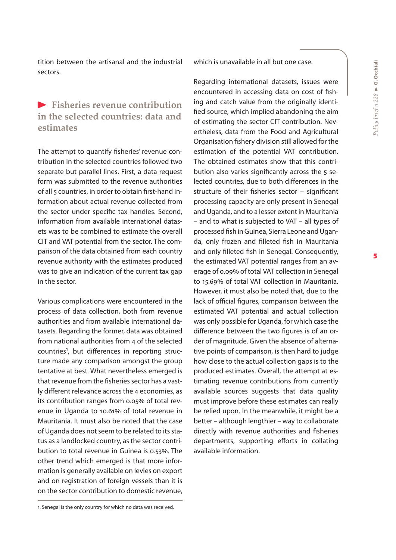tition between the artisanal and the industrial sectors.

#### **Fisheries revenue contribution in the selected countries: data and estimates**

The attempt to quantify fisheries' revenue contribution in the selected countries followed two separate but parallel lines. First, a data request form was submitted to the revenue authorities of all 5 countries, in order to obtain first-hand information about actual revenue collected from the sector under specific tax handles. Second, information from available international datasets was to be combined to estimate the overall CIT and VAT potential from the sector. The comparison of the data obtained from each country revenue authority with the estimates produced was to give an indication of the current tax gap in the sector.

Various complications were encountered in the process of data collection, both from revenue authorities and from available international datasets. Regarding the former, data was obtained from national authorities from 4 of the selected countries<sup>1</sup>, but differences in reporting structure made any comparison amongst the group tentative at best. What nevertheless emerged is that revenue from the fisheries sector has a vastly different relevance across the 4 economies, as its contribution ranges from 0.05% of total revenue in Uganda to 10.61% of total revenue in Mauritania. It must also be noted that the case of Uganda does not seem to be related to its status as a landlocked country, as the sector contribution to total revenue in Guinea is 0.53%. The other trend which emerged is that more information is generally available on levies on export and on registration of foreign vessels than it is on the sector contribution to domestic revenue, which is unavailable in all but one case.

Regarding international datasets, issues were encountered in accessing data on cost of fishing and catch value from the originally identified source, which implied abandoning the aim of estimating the sector CIT contribution. Nevertheless, data from the Food and Agricultural Organisation fishery division still allowed for the estimation of the potential VAT contribution. The obtained estimates show that this contribution also varies significantly across the 5 selected countries, due to both differences in the structure of their fisheries sector – significant processing capacity are only present in Senegal and Uganda, and to a lesser extent in Mauritania – and to what is subjected to VAT – all types of processed fish in Guinea, Sierra Leone and Uganda, only frozen and filleted fish in Mauritania and only filleted fish in Senegal. Consequently, the estimated VAT potential ranges from an average of 0.09% of total VAT collection in Senegal to 15.69% of total VAT collection in Mauritania. However, it must also be noted that, due to the lack of official figures, comparison between the estimated VAT potential and actual collection was only possible for Uganda, for which case the difference between the two figures is of an order of magnitude. Given the absence of alternative points of comparison, is then hard to judge how close to the actual collection gaps is to the produced estimates. Overall, the attempt at estimating revenue contributions from currently available sources suggests that data quality must improve before these estimates can really be relied upon. In the meanwhile, it might be a better – although lengthier – way to collaborate directly with revenue authorities and fisheries departments, supporting efforts in collating available information.

<sup>1.</sup> Senegal is the only country for which no data was received.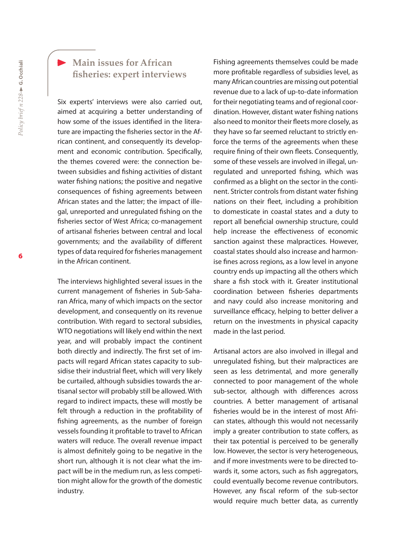#### **Main issues for African fisheries: expert interviews**

Six experts' interviews were also carried out, aimed at acquiring a better understanding of how some of the issues identified in the literature are impacting the fisheries sector in the African continent, and consequently its development and economic contribution. Specifically, the themes covered were: the connection between subsidies and fishing activities of distant water fishing nations; the positive and negative consequences of fishing agreements between African states and the latter; the impact of illegal, unreported and unregulated fishing on the fisheries sector of West Africa; co-management of artisanal fisheries between central and local governments; and the availability of different types of data required for fisheries management in the African continent.

The interviews highlighted several issues in the current management of fisheries in Sub-Saharan Africa, many of which impacts on the sector development, and consequently on its revenue contribution. With regard to sectoral subsidies, WTO negotiations will likely end within the next year, and will probably impact the continent both directly and indirectly. The first set of impacts will regard African states capacity to subsidise their industrial fleet, which will very likely be curtailed, although subsidies towards the artisanal sector will probably still be allowed. With regard to indirect impacts, these will mostly be felt through a reduction in the profitability of fishing agreements, as the number of foreign vessels founding it profitable to travel to African waters will reduce. The overall revenue impact is almost definitely going to be negative in the short run, although it is not clear what the impact will be in the medium run, as less competition might allow for the growth of the domestic industry.

Fishing agreements themselves could be made more profitable regardless of subsidies level, as many African countries are missing out potential revenue due to a lack of up-to-date information for their negotiating teams and of regional coordination. However, distant water fishing nations also need to monitor their fleets more closely, as they have so far seemed reluctant to strictly enforce the terms of the agreements when these require fining of their own fleets. Consequently, some of these vessels are involved in illegal, unregulated and unreported fishing, which was confirmed as a blight on the sector in the continent. Stricter controls from distant water fishing nations on their fleet, including a prohibition to domesticate in coastal states and a duty to report all beneficial ownership structure, could help increase the effectiveness of economic sanction against these malpractices. However, coastal states should also increase and harmonise fines across regions, as a low level in anyone country ends up impacting all the others which share a fish stock with it. Greater institutional coordination between fisheries departments and navy could also increase monitoring and surveillance efficacy, helping to better deliver a return on the investments in physical capacity made in the last period.

Artisanal actors are also involved in illegal and unregulated fishing, but their malpractices are seen as less detrimental, and more generally connected to poor management of the whole sub-sector, although with differences across countries. A better management of artisanal fisheries would be in the interest of most African states, although this would not necessarily imply a greater contribution to state coffers, as their tax potential is perceived to be generally low. However, the sector is very heterogeneous, and if more investments were to be directed towards it, some actors, such as fish aggregators, could eventually become revenue contributors. However, any fiscal reform of the sub-sector would require much better data, as currently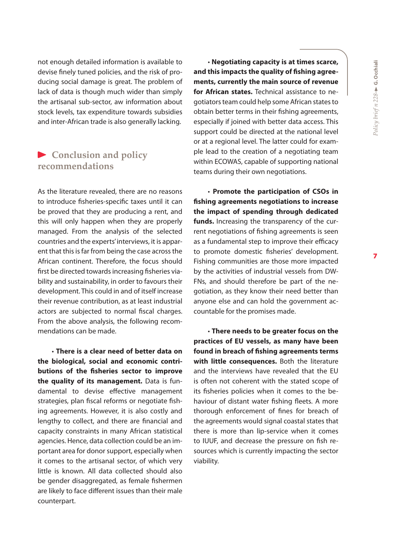not enough detailed information is available to devise finely tuned policies, and the risk of producing social damage is great. The problem of lack of data is though much wider than simply the artisanal sub-sector, aw information about stock levels, tax expenditure towards subsidies and inter-African trade is also generally lacking.

#### **Conclusion and policy recommendations**

As the literature revealed, there are no reasons to introduce fisheries-specific taxes until it can be proved that they are producing a rent, and this will only happen when they are properly managed. From the analysis of the selected countries and the experts' interviews, it is apparent that this is far from being the case across the African continent. Therefore, the focus should first be directed towards increasing fisheries viability and sustainability, in order to favours their development. This could in and of itself increase their revenue contribution, as at least industrial actors are subjected to normal fiscal charges. From the above analysis, the following recommendations can be made.

• **There is a clear need of better data on the biological, social and economic contributions of the fisheries sector to improve the quality of its management.** Data is fundamental to devise effective management strategies, plan fiscal reforms or negotiate fishing agreements. However, it is also costly and lengthy to collect, and there are financial and capacity constraints in many African statistical agencies. Hence, data collection could be an important area for donor support, especially when it comes to the artisanal sector, of which very little is known. All data collected should also be gender disaggregated, as female fishermen are likely to face different issues than their male counterpart.

• **Negotiating capacity is at times scarce, and this impacts the quality of fishing agreements, currently the main source of revenue for African states.** Technical assistance to negotiators team could help some African states to obtain better terms in their fishing agreements, especially if joined with better data access. This support could be directed at the national level or at a regional level. The latter could for example lead to the creation of a negotiating team within ECOWAS, capable of supporting national teams during their own negotiations.

• **Promote the participation of CSOs in fishing agreements negotiations to increase the impact of spending through dedicated funds.** Increasing the transparency of the current negotiations of fishing agreements is seen as a fundamental step to improve their efficacy to promote domestic fisheries' development. Fishing communities are those more impacted by the activities of industrial vessels from DW-FNs, and should therefore be part of the negotiation, as they know their need better than anyone else and can hold the government accountable for the promises made.

• **There needs to be greater focus on the practices of EU vessels, as many have been found in breach of fishing agreements terms with little consequences.** Both the literature and the interviews have revealed that the EU is often not coherent with the stated scope of its fisheries policies when it comes to the behaviour of distant water fishing fleets. A more thorough enforcement of fines for breach of the agreements would signal coastal states that there is more than lip-service when it comes to IUUF, and decrease the pressure on fish resources which is currently impacting the sector viability.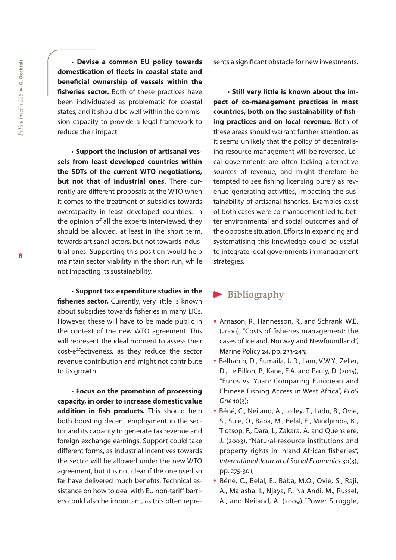• **Devise a common EU policy towards domestication of fleets in coastal state and beneficial ownership of vessels within the fisheries sector.** Both of these practices have been individuated as problematic for coastal states, and it should be well within the commission capacity to provide a legal framework to reduce their impact.

• **Support the inclusion of artisanal vessels from least developed countries within the SDTs of the current WTO negotiations, but not that of industrial ones.** There currently are different proposals at the WTO when it comes to the treatment of subsidies towards overcapacity in least developed countries. In the opinion of all the experts interviewed, they should be allowed, at least in the short term, towards artisanal actors, but not towards industrial ones. Supporting this position would help maintain sector viability in the short run, while not impacting its sustainability.

• **Support tax expenditure studies in the**  fisheries sector. Currently, very little is known about subsidies towards fisheries in many LICs. However, these will have to be made public in the context of the new WTO agreement. This will represent the ideal moment to assess their cost-effectiveness, as they reduce the sector revenue contribution and might not contribute to its growth.

• **Focus on the promotion of processing capacity, in order to increase domestic value addition in fish products.** This should help both boosting decent employment in the sector and its capacity to generate tax revenue and foreign exchange earnings. Support could take different forms, as industrial incentives towards the sector will be allowed under the new WTO agreement, but it is not clear if the one used so far have delivered much benefits. Technical assistance on how to deal with EU non-tariff barriers could also be important, as this often represents a significant obstacle for new investments.

• **Still very little is known about the impact of co-management practices in most countries, both on the sustainability of fishing practices and on local revenue.** Both of these areas should warrant further attention, as it seems unlikely that the policy of decentralising resource management will be reversed. Local governments are often lacking alternative sources of revenue, and might therefore be tempted to see fishing licensing purely as revenue generating activities, impacting the sustainability of artisanal fisheries. Examples exist of both cases were co-management led to better environmental and social outcomes and of the opposite situation. Efforts in expanding and systematising this knowledge could be useful to integrate local governments in management strategies.

#### **Bibliography**

- Arnason, R., Hannesson, R., and Schrank, W.E. (2000), "Costs of fisheries management: the cases of Iceland, Norway and Newfoundland", Marine Policy 24, pp. 233-243;
- Belhabib, D., Sumaila, U.R., Lam, V.W.Y., Zeller, D., Le Billon, P., Kane, E.A. and Pauly, D. (2015), "Euros vs. Yuan: Comparing European and Chinese Fishing Access in West Africa", *PLoS One* 10(3);
- Béné, C., Neiland, A., Jolley, T., Ladu, B., Ovie, S., Sule, O., Baba, M., Belal, E., Mindjimba, K., Tiotsop, F., Dara, L, Zakara, A. and Quensiere, J. (2003), "Natural-resource institutions and property rights in inland African fisheries", *International Journal of Social Economics* 30(3), pp. 275-301;
- Béné, C., Belal, E., Baba, M.O., Ovie, S., Raji, A., Malasha, I., Njaya, F., Na Andi, M., Russel, A., and Neiland, A. (2009) "Power Struggle,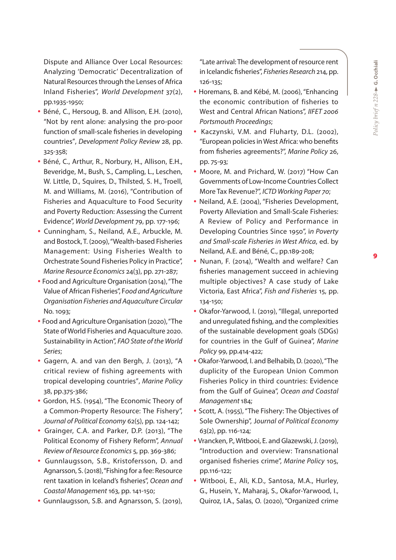Dispute and Alliance Over Local Resources: Analyzing 'Democratic' Decentralization of Natural Resources through the Lenses of Africa Inland Fisheries", *World Development* 37(2), pp.1935-1950;

- Béné, C., Hersoug, B. and Allison, E.H. (2010), "Not by rent alone: analysing the pro-poor function of small-scale fisheries in developing countries", *Development Policy Review* 28, pp. 325-358;
- Béné, C., Arthur, R., Norbury, H., Allison, E.H., Beveridge, M., Bush, S., Campling, L., Leschen, W. Little, D., Squires, D., Thilsted, S. H., Troell, M. and Williams, M. (2016), "Contribution of Fisheries and Aquaculture to Food Security and Poverty Reduction: Assessing the Current Evidence", *World Development* 79, pp. 177-196;
- Cunningham, S., Neiland, A.E., Arbuckle, M. and Bostock, T. (2009), "Wealth-based Fisheries Management: Using Fisheries Wealth to Orchestrate Sound Fisheries Policy in Practice", *Marine Resource Economics* 24(3), pp. 271-287;
- Food and Agriculture Organisation (2014), "The Value of African Fisheries", F*ood and Agriculture Organisation Fisheries and Aquaculture Circular*  No. 1093;
- Food and Agriculture Organisation (2020), "The State of World Fisheries and Aquaculture 2020. Sustainability in Action", *FAO State of the World Series*;
- Gagern, A. and van den Bergh, J. (2013), "A critical review of fishing agreements with tropical developing countries", *Marine Policy* 38, pp.375-386;
- Gordon, H.S. (1954), "The Economic Theory of a Common-Property Resource: The Fishery", *Journal of Political Economy* 62(5), pp. 124-142;
- Grainger, C.A. and Parker, D.P. (2013), "The Political Economy of Fishery Reform", *Annual Review of Resource Economics* 5, pp. 369-386;
- Gunnlaugsson, S.B., Kristofersson, D. and Agnarsson, S. (2018), "Fishing for a fee: Resource rent taxation in Iceland's fisheries", *Ocean and Coastal Management* 163, pp. 141-150;
- Gunnlaugsson, S.B. and Agnarsson, S. (2019),

"Late arrival: The development of resource rent in Icelandic fisheries", *Fisheries Research* 214, pp. 126-135;

- Horemans, B. and Kébé, M. (2006), "Enhancing the economic contribution of fisheries to West and Central African Nations", *IIFET 2006 Portsmouth Proceedings*;
- Kaczynski, V.M. and Fluharty, D.L. (2002), "European policies in West Africa: who benefits from fisheries agreements?", *Marine Policy* 26, pp. 75-93;
- Moore, M. and Prichard, W. (2017) "How Can Governments of Low-Income Countries Collect More Tax Revenue?", *ICTD Working Paper 70*;
- Neiland, A.E. (2004), "Fisheries Development, Poverty Alleviation and Small-Scale Fisheries: A Review of Policy and Performance in Developing Countries Since 1950", i*n Poverty and Small-scale Fisheries in West Africa*, ed. by Neiland, A.E. and Béné, C., pp.189-208;
- Nunan, F. (2014), "Wealth and welfare? Can fisheries management succeed in achieving multiple objectives? A case study of Lake Victoria, East Africa", *Fish and Fisheries* 15, pp. 134-150;
- Okafor-Yarwood, I. (2019), "Illegal, unreported and unregulated fishing, and the complexities of the sustainable development goals (SDGs) for countries in the Gulf of Guinea", *Marine Policy* 99, pp.414-422;
- Okafor-Yarwood, I. and Belhabib, D. (2020), "The duplicity of the European Union Common Fisheries Policy in third countries: Evidence from the Gulf of Guinea", *Ocean and Coastal Management* 184;
- Scott, A. (1955), "The Fishery: The Objectives of Sole Ownership", J*ournal of Political Economy*  63(2), pp. 116-124;
- Vrancken, P., Witbooi, E. and Glazewski, J. (2019), "Introduction and overview: Transnational organised fisheries crime", *Marine Policy* 105, pp.116-122;
- Witbooi, E., Ali, K.D., Santosa, M.A., Hurley, G., Husein, Y., Maharaj, S., Okafor-Yarwood, I., Quiroz, I.A., Salas, O. (2020), "Organized crime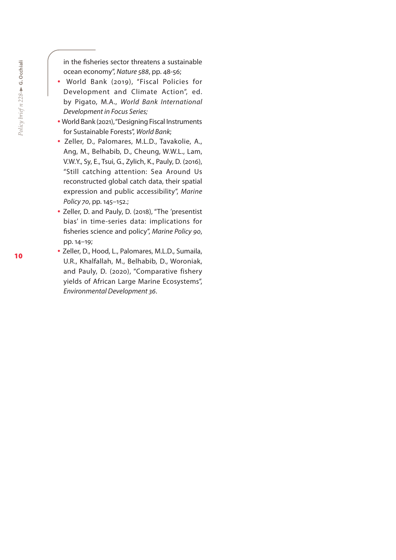in the fisheries sector threatens a sustainable ocean economy", *Nature 588*, pp. 48-56;

- World Bank (2019), "Fiscal Policies for Development and Climate Action", ed. by Pigato, M.A., *World Bank International Development in Focus Series;*
- World Bank (2021), "Designing Fiscal Instruments for Sustainable Forests", *World Bank*;
- Zeller, D., Palomares, M.L.D., Tavakolie, A., Ang, M., Belhabib, D., Cheung, W.W.L., Lam, V.W.Y., Sy, E., Tsui, G., Zylich, K., Pauly, D. (2016), "Still catching attention: Sea Around Us reconstructed global catch data, their spatial expression and public accessibility", *Marine Policy 70*, pp. 145–152.;
- Zeller, D. and Pauly, D. (2018), "The 'presentist bias' in time-series data: implications for fisheries science and policy", *Marine Policy 90*, pp. 14–19;
- Zeller, D., Hood, L., Palomares, M.L.D., Sumaila, U.R., Khalfallah, M., Belhabib, D., Woroniak, and Pauly, D. (2020), "Comparative fishery yields of African Large Marine Ecosystems", *Environmental Development 36*.